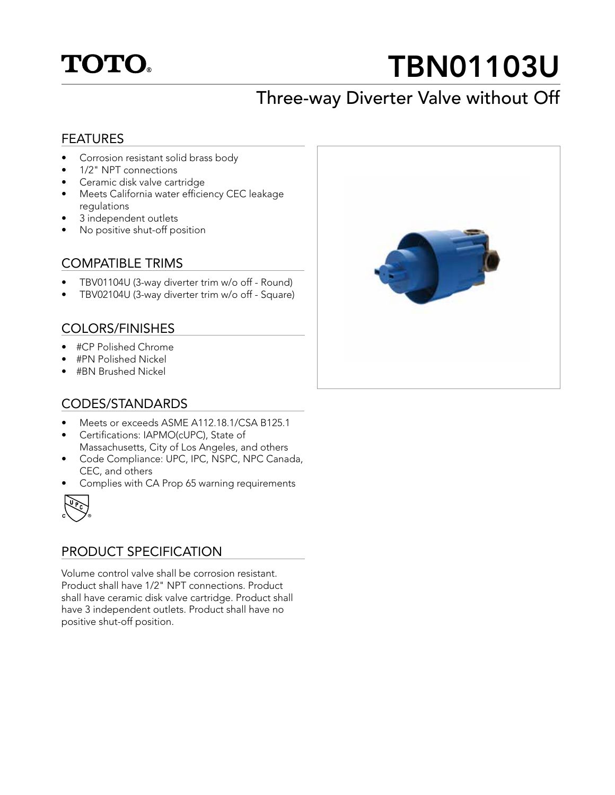# **TOTO.**

# TBN01103U

## Three-way Diverter Valve without Off

#### FEATURES

- Corrosion resistant solid brass body
- 1/2" NPT connections
- Ceramic disk valve cartridge
- Meets California water efficiency CEC leakage regulations
- 3 independent outlets
- No positive shut-off position

#### COMPATIBLE TRIMS

- TBV01104U (3-way diverter trim w/o off Round)
- TBV02104U (3-way diverter trim w/o off Square)

#### COLORS/FINISHES

- #CP Polished Chrome
- #PN Polished Nickel
- #BN Brushed Nickel

#### CODES/STANDARDS

- Meets or exceeds ASME A112.18.1/CSA B125.1
- Certifications: IAPMO(cUPC), State of Massachusetts, City of Los Angeles, and others
- Code Compliance: UPC, IPC, NSPC, NPC Canada, CEC, and others
- Complies with CA Prop 65 warning requirements



#### PRODUCT SPECIFICATION

Volume control valve shall be corrosion resistant. Product shall have 1/2" NPT connections. Product shall have ceramic disk valve cartridge. Product shall have 3 independent outlets. Product shall have no positive shut-off position.